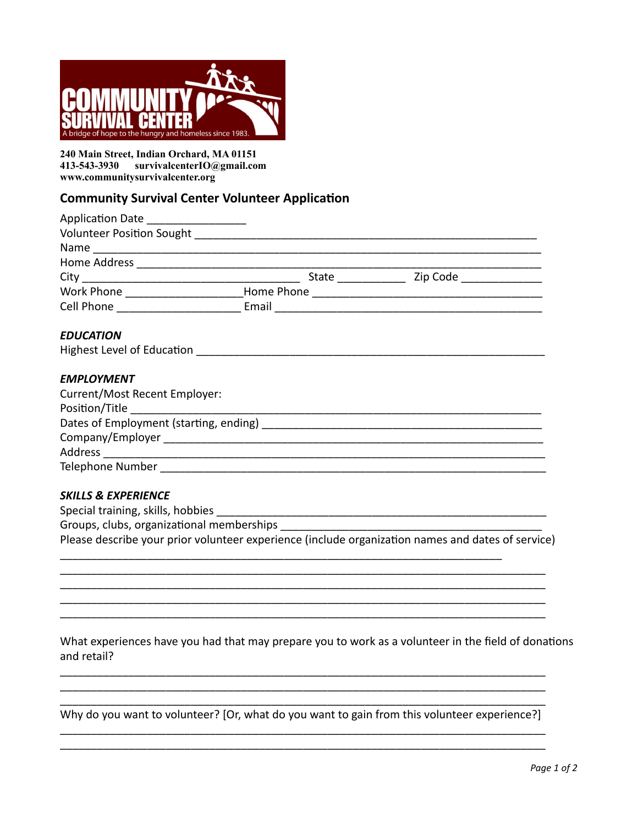

240 Main Street, Indian Orchard, MA 01151 413-543-3930 survivalcenterIO@gmail.com www.communitysurvivalcenter.org

# **Community Survival Center Volunteer Application**

| Application Date __________________ |                    |                       |  |
|-------------------------------------|--------------------|-----------------------|--|
| <b>Volunteer Position Sought</b>    |                    |                       |  |
|                                     |                    |                       |  |
| Home Address                        |                    |                       |  |
| City                                | <b>State State</b> | Zip Code <b>Santa</b> |  |
| Work Phone                          | Home Phone         |                       |  |
| <b>Cell Phone</b>                   | Email              |                       |  |
|                                     |                    |                       |  |

#### **EDUCATION**

#### **EMPLOYMENT**

| Current/Most Recent Employer:          |  |
|----------------------------------------|--|
| Position/Title <b>Example 2018</b>     |  |
| Dates of Employment (starting, ending) |  |
| Company/Employer                       |  |
| Address                                |  |
| Telephone Number                       |  |

#### **SKILLS & EXPERIENCE**

Special training, skills, hobbies \_\_

Groups, clubs, organizational memberships

Please describe your prior volunteer experience (include organization names and dates of service)

### What experiences have you had that may prepare you to work as a volunteer in the field of donations and retail?

Why do you want to volunteer? [Or, what do you want to gain from this volunteer experience?]